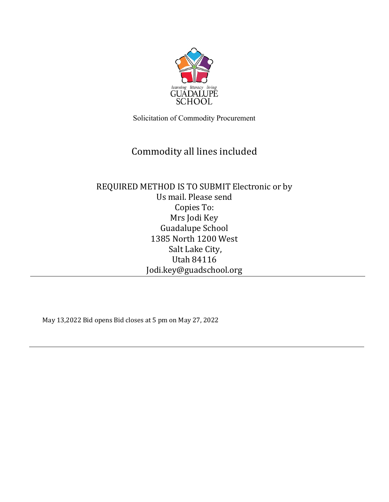

Solicitation of Commodity Procurement

# Commodity all lines included

# REQUIRED METHOD IS TO SUBMIT Electronic or by Us mail. Please send Copies To: Mrs Jodi Key Guadalupe School 1385 North 1200 West Salt Lake City, Utah 84116 Jodi.key@guadschool.org

May 13,2022 Bid opens Bid closes at 5 pm on May 27, 2022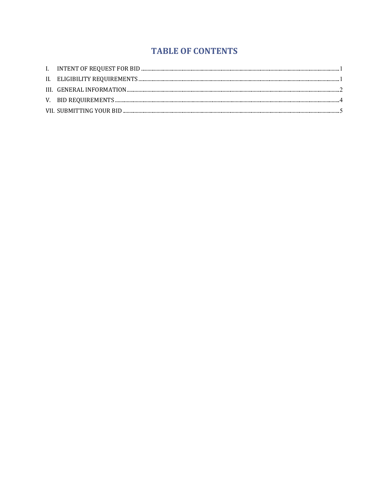# **TABLE OF CONTENTS**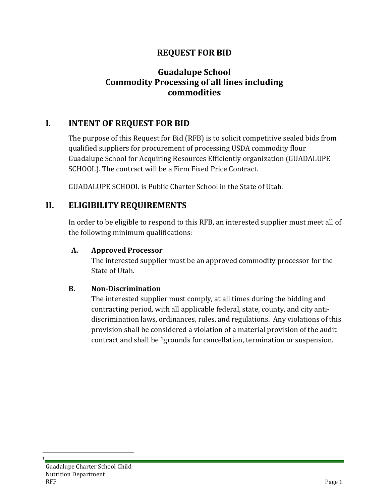## **REQUEST FOR BID**

## **Guadalupe School Commodity Processing of all lines including commodities**

## <span id="page-2-0"></span>**I. INTENT OF REQUEST FOR BID**

The purpose of this Request for Bid (RFB) is to solicit competitive sealed bids from qualified suppliers for procurement of processing USDA commodity flour Guadalupe School for Acquiring Resources Efficiently organization (GUADALUPE SCHOOL). The contract will be a Firm Fixed Price Contract.

GUADALUPE SCHOOL is Public Charter School in the State of Utah.

#### <span id="page-2-1"></span>**II. ELIGIBILITY REQUIREMENTS**

In order to be eligible to respond to this RFB, an interested supplier must meet all of the following minimum qualifications:

#### **A. Approved Processor**

The interested supplier must be an approved commodity processor for the State of Utah.

#### **B. Non-Discrimination**

The interested supplier must comply, at all times during the bidding and contracting period, with all applicable federal, state, county, and city antidiscrimination laws, ordinances, rules, and regulations. Any violations of this provision shall be considered a violation of a material provision of the audit contract and shall be [1g](#page-2-2)rounds for cancellation, termination or suspension.

<span id="page-2-2"></span> $\frac{1}{1}$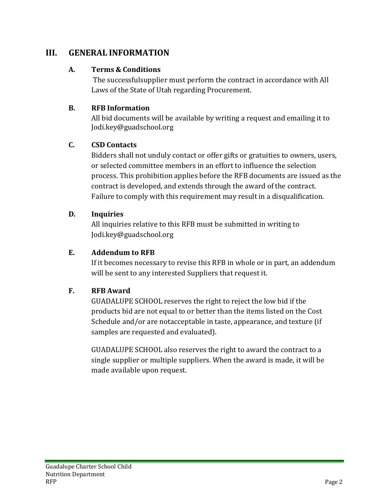## <span id="page-3-0"></span>**III. GENERAL INFORMATION**

#### **A. Terms & Conditions**

The successfulsupplier must perform the contract in accordance with All Laws of the State of Utah regarding Procurement.

#### **B. RFB Information**

All bid documents will be available by writing a request and emailing it to Jodi.key@guadschool.org

#### **C. CSD Contacts**

Bidders shall not unduly contact or offer gifts or gratuities to owners, users, or selected committee members in an effort to influence the selection process. This prohibition applies before the RFB documents are issued as the contract is developed, and extends through the award of the contract. Failure to comply with this requirement may result in a disqualification.

#### **D. Inquiries**

All inquiries relative to this RFB must be submitted in writing to Jodi.key@guadschool.org

#### **E. Addendum to RFB**

If it becomes necessary to revise this RFB in whole or in part, an addendum will be sent to any interested Suppliers that request it.

#### **F. RFB Award**

GUADALUPE SCHOOL reserves the right to reject the low bid if the products bid are not equal to or better than the items listed on the Cost Schedule and/or are notacceptable in taste, appearance, and texture (if samples are requested and evaluated).

GUADALUPE SCHOOL also reserves the right to award the contract to a single supplier or multiple suppliers. When the award is made, it will be made available upon request.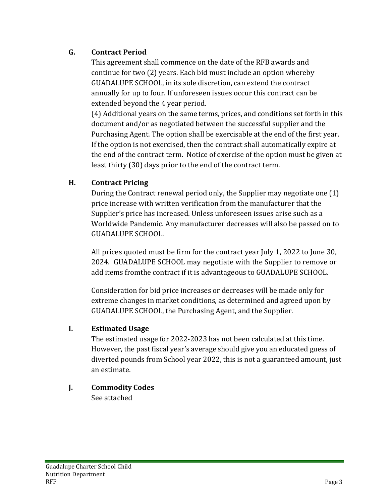#### **G. Contract Period**

This agreement shall commence on the date of the RFB awards and continue for two (2) years. Each bid must include an option whereby GUADALUPE SCHOOL, in its sole discretion, can extend the contract annually for up to four. If unforeseen issues occur this contract can be extended beyond the 4 year period.

(4) Additional years on the same terms, prices, and conditions set forth in this document and/or as negotiated between the successful supplier and the Purchasing Agent. The option shall be exercisable at the end of the first year. If the option is not exercised, then the contract shall automatically expire at the end of the contract term. Notice of exercise of the option must be given at least thirty (30) days prior to the end of the contract term.

#### **H. Contract Pricing**

During the Contract renewal period only, the Supplier may negotiate one (1) price increase with written verification from the manufacturer that the Supplier's price has increased. Unless unforeseen issues arise such as a Worldwide Pandemic. Any manufacturer decreases will also be passed on to GUADALUPE SCHOOL.

All prices quoted must be firm for the contract year July 1, 2022 to June 30, 2024. GUADALUPE SCHOOL may negotiate with the Supplier to remove or add items fromthe contract if it is advantageous to GUADALUPE SCHOOL.

Consideration for bid price increases or decreases will be made only for extreme changes in market conditions, as determined and agreed upon by GUADALUPE SCHOOL, the Purchasing Agent, and the Supplier.

#### **I. Estimated Usage**

The estimated usage for 2022-2023 has not been calculated at this time. However, the past fiscal year's average should give you an educated guess of diverted pounds from School year 2022, this is not a guaranteed amount, just an estimate.

**J. Commodity Codes**

See attached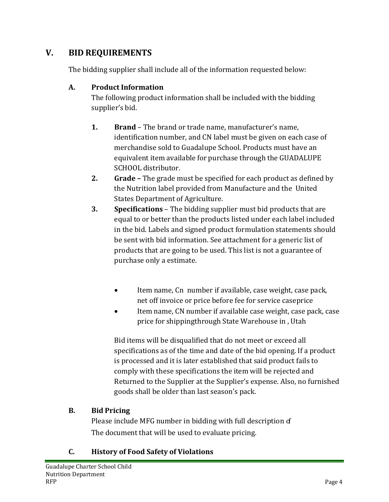# <span id="page-5-0"></span>**V. BID REQUIREMENTS**

The bidding supplier shall include all of the information requested below:

#### **A. Product Information**

The following product information shall be included with the bidding supplier's bid.

- **1. Brand** The brand or trade name, manufacturer's name, identification number, and CN label must be given on each case of merchandise sold to Guadalupe School. Products must have an equivalent item available for purchase through the GUADALUPE SCHOOL distributor.
- **2. Grade –** The grade must be specified for each product as defined by the Nutrition label provided from Manufacture and the United States Department of Agriculture.
- **3. Specifications**  The bidding supplier must bid products that are equal to or better than the products listed under each label included in the bid. Labels and signed product formulation statements should be sent with bid information. See attachment for a generic list of products that are going to be used. This list is not a guarantee of purchase only a estimate.
	- Item name, Cn number if available, case weight, case pack, net off invoice or price before fee for service caseprice
	- Item name, CN number if available case weight, case pack, case price for shippingthrough State Warehouse in , Utah

Bid items will be disqualified that do not meet or exceed all specifications as of the time and date of the bid opening. If a product is processed and it is later established that said product fails to comply with these specifications the item will be rejected and Returned to the Supplier at the Supplier's expense. Also, no furnished goods shall be older than last season's pack.

## **B. Bid Pricing**

Please include MFG number in bidding with full description  $f$ The document that will be used to evaluate pricing.

## **C. History of Food Safety of Violations**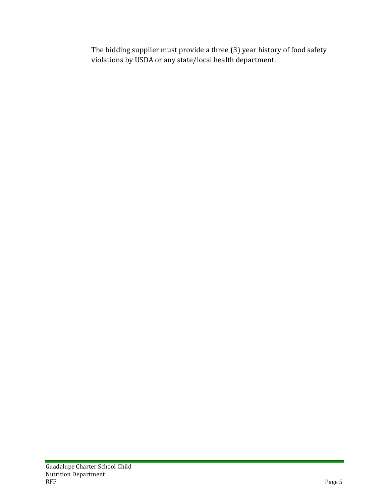The bidding supplier must provide a three (3) year history of food safety violations by USDA or any state/local health department.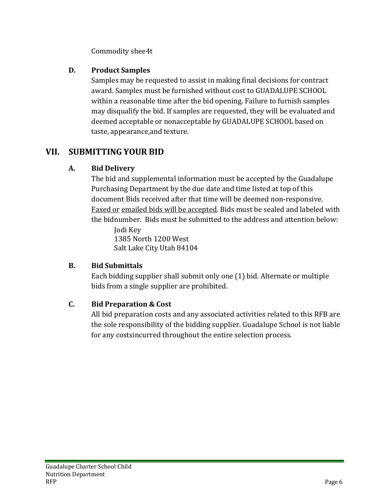Commodity shee4t

#### **D. Product Samples**

Samples may be requested to assist in making final decisions for contract award. Samples must be furnished without cost to GUADALUPE SCHOOL within a reasonable time after the bid opening. Failure to furnish samples may disqualify the bid. If samples are requested, they will be evaluated and deemed acceptable or nonacceptable by GUADALUPE SCHOOL based on taste, appearance,and texture.

# <span id="page-7-0"></span>**VII. SUBMITTING YOUR BID**

## **A. Bid Delivery**

The bid and supplemental information must be accepted by the Guadalupe Purchasing Department by the due date and time listed at top of this document Bids received after that time will be deemed non-responsive. Faxed or emailed bids will be accepted. Bids must be sealed and labeled with the bidnumber. Bids must be submitted to the address and attention below:

Jodi Key 1385 North 1200 West Salt Lake City Utah 84104

# **B. Bid Submittals**

Each bidding supplier shall submit only one (1) bid. Alternate or multiple bids from a single supplier are prohibited.

## **C. Bid Preparation & Cost**

All bid preparation costs and any associated activities related to this RFB are the sole responsibility of the bidding supplier. Guadalupe School is not liable for any costsincurred throughout the entire selection process.